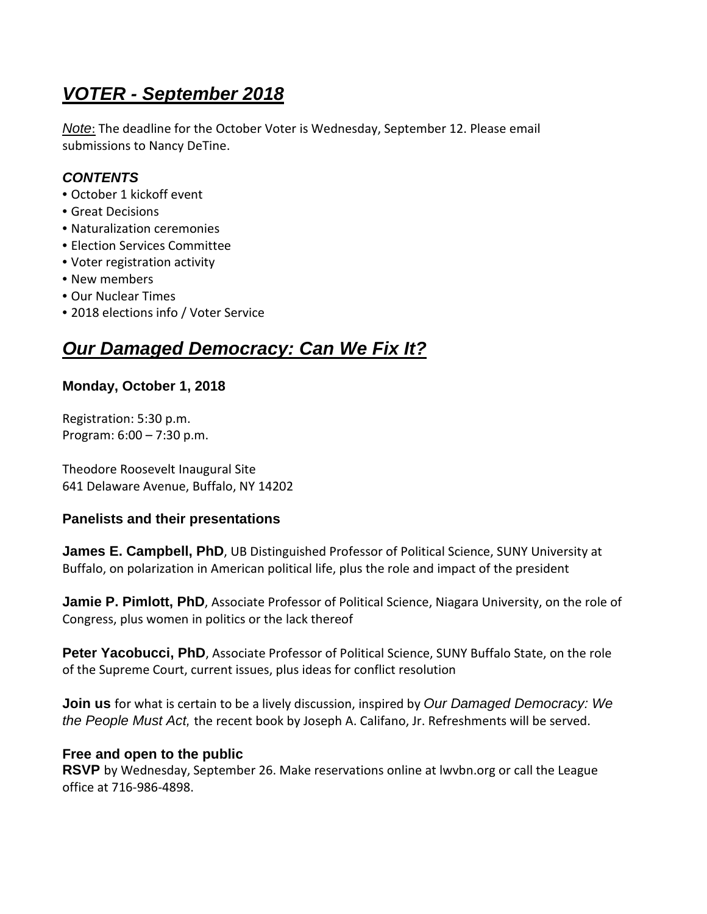# **VOTER - September 2018**

Note: The deadline for the October Voter is Wednesday, September 12. Please email submissions to Nancy DeTine.

### **CONTENTS**

- October 1 kickoff event
- Great Decisions
- Naturalization ceremonies
- Election Services Committee
- Voter registration activity
- New members
- Our Nuclear Times
- 2018 elections info / Voter Service

## **Our Damaged Democracy: Can We Fix It?**

#### **Monday, October 1, 2018**

Registration: 5:30 p.m. Program: 6:00 – 7:30 p.m.

Theodore Roosevelt Inaugural Site 641 Delaware Avenue, Buffalo, NY 14202

#### **Panelists and their presentations**

**James E. Campbell, PhD**, UB Distinguished Professor of Political Science, SUNY University at Buffalo, on polarization in American political life, plus the role and impact of the president

**Jamie P. Pimlott, PhD**, Associate Professor of Political Science, Niagara University, on the role of Congress, plus women in politics or the lack thereof

Peter Yacobucci, PhD, Associate Professor of Political Science, SUNY Buffalo State, on the role of the Supreme Court, current issues, plus ideas for conflict resolution

**Join us** for what is certain to be a lively discussion, inspired by Our Damaged Democracy: We the People Must Act, the recent book by Joseph A. Califano, Jr. Refreshments will be served.

#### **Free and open to the public**

**RSVP** by Wednesday, September 26. Make reservations online at lwvbn.org or call the League office at 716-986-4898.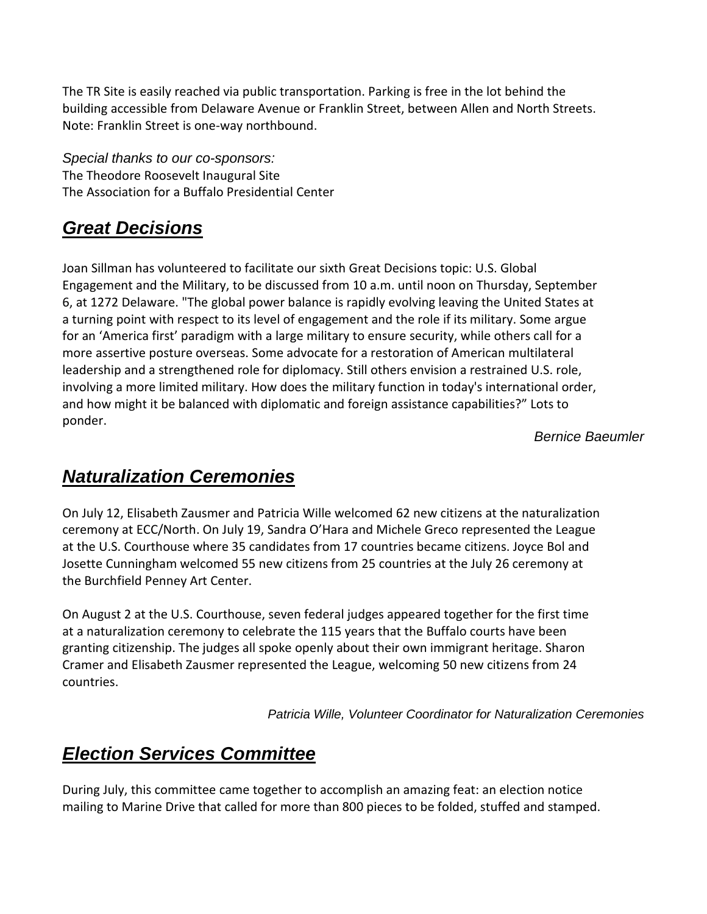The TR Site is easily reached via public transportation. Parking is free in the lot behind the building accessible from Delaware Avenue or Franklin Street, between Allen and North Streets. Note: Franklin Street is one-way northbound.

Special thanks to our co-sponsors: The Theodore Roosevelt Inaugural Site The Association for a Buffalo Presidential Center

# **Great Decisions**

Joan Sillman has volunteered to facilitate our sixth Great Decisions topic: U.S. Global Engagement and the Military, to be discussed from 10 a.m. until noon on Thursday, September 6, at 1272 Delaware. "The global power balance is rapidly evolving leaving the United States at a turning point with respect to its level of engagement and the role if its military. Some argue for an 'America first' paradigm with a large military to ensure security, while others call for a more assertive posture overseas. Some advocate for a restoration of American multilateral leadership and a strengthened role for diplomacy. Still others envision a restrained U.S. role, involving a more limited military. How does the military function in today's international order, and how might it be balanced with diplomatic and foreign assistance capabilities?" Lots to ponder.

Bernice Baeumler

### **Naturalization Ceremonies**

On July 12, Elisabeth Zausmer and Patricia Wille welcomed 62 new citizens at the naturalization ceremony at ECC/North. On July 19, Sandra O'Hara and Michele Greco represented the League at the U.S. Courthouse where 35 candidates from 17 countries became citizens. Joyce Bol and Josette Cunningham welcomed 55 new citizens from 25 countries at the July 26 ceremony at the Burchfield Penney Art Center.

On August 2 at the U.S. Courthouse, seven federal judges appeared together for the first time at a naturalization ceremony to celebrate the 115 years that the Buffalo courts have been granting citizenship. The judges all spoke openly about their own immigrant heritage. Sharon Cramer and Elisabeth Zausmer represented the League, welcoming 50 new citizens from 24 countries.

Patricia Wille, Volunteer Coordinator for Naturalization Ceremonies

## **Election Services Committee**

During July, this committee came together to accomplish an amazing feat: an election notice mailing to Marine Drive that called for more than 800 pieces to be folded, stuffed and stamped.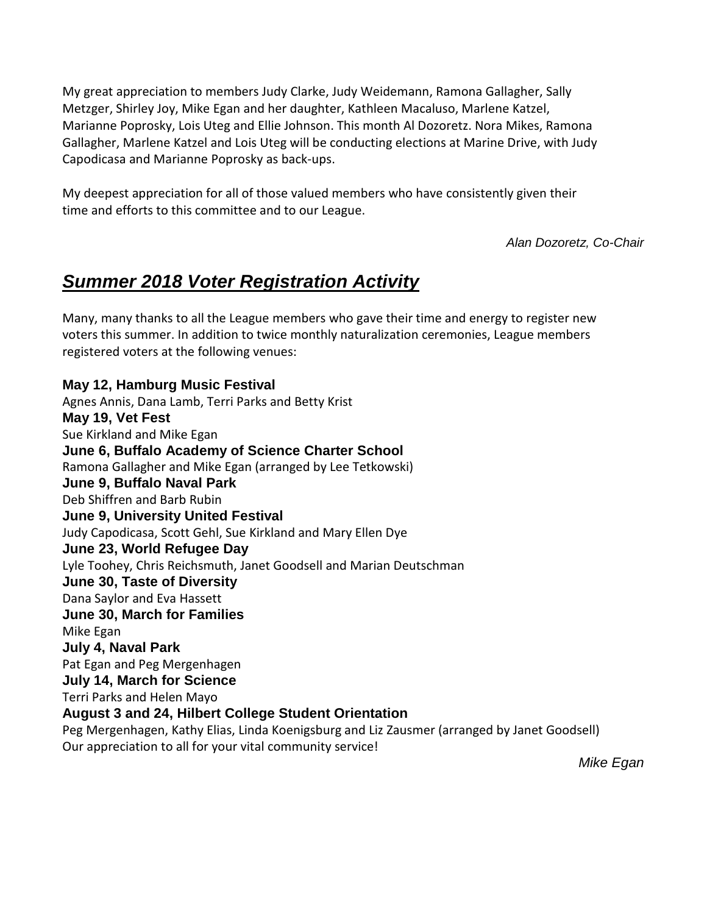My great appreciation to members Judy Clarke, Judy Weidemann, Ramona Gallagher, Sally Metzger, Shirley Joy, Mike Egan and her daughter, Kathleen Macaluso, Marlene Katzel, Marianne Poprosky, Lois Uteg and Ellie Johnson. This month Al Dozoretz. Nora Mikes, Ramona Gallagher, Marlene Katzel and Lois Uteg will be conducting elections at Marine Drive, with Judy Capodicasa and Marianne Poprosky as back-ups.

My deepest appreciation for all of those valued members who have consistently given their time and efforts to this committee and to our League.

Alan Dozoretz, Co-Chair

# **Summer 2018 Voter Registration Activity**

Many, many thanks to all the League members who gave their time and energy to register new voters this summer. In addition to twice monthly naturalization ceremonies, League members registered voters at the following venues:

**May 12, Hamburg Music Festival**  Agnes Annis, Dana Lamb, Terri Parks and Betty Krist **May 19, Vet Fest**  Sue Kirkland and Mike Egan **June 6, Buffalo Academy of Science Charter School**  Ramona Gallagher and Mike Egan (arranged by Lee Tetkowski) **June 9, Buffalo Naval Park**  Deb Shiffren and Barb Rubin **June 9, University United Festival**  Judy Capodicasa, Scott Gehl, Sue Kirkland and Mary Ellen Dye **June 23, World Refugee Day**  Lyle Toohey, Chris Reichsmuth, Janet Goodsell and Marian Deutschman **June 30, Taste of Diversity**  Dana Saylor and Eva Hassett **June 30, March for Families**  Mike Egan **July 4, Naval Park**  Pat Egan and Peg Mergenhagen **July 14, March for Science**  Terri Parks and Helen Mayo **August 3 and 24, Hilbert College Student Orientation**  Peg Mergenhagen, Kathy Elias, Linda Koenigsburg and Liz Zausmer (arranged by Janet Goodsell) Our appreciation to all for your vital community service!

Mike Egan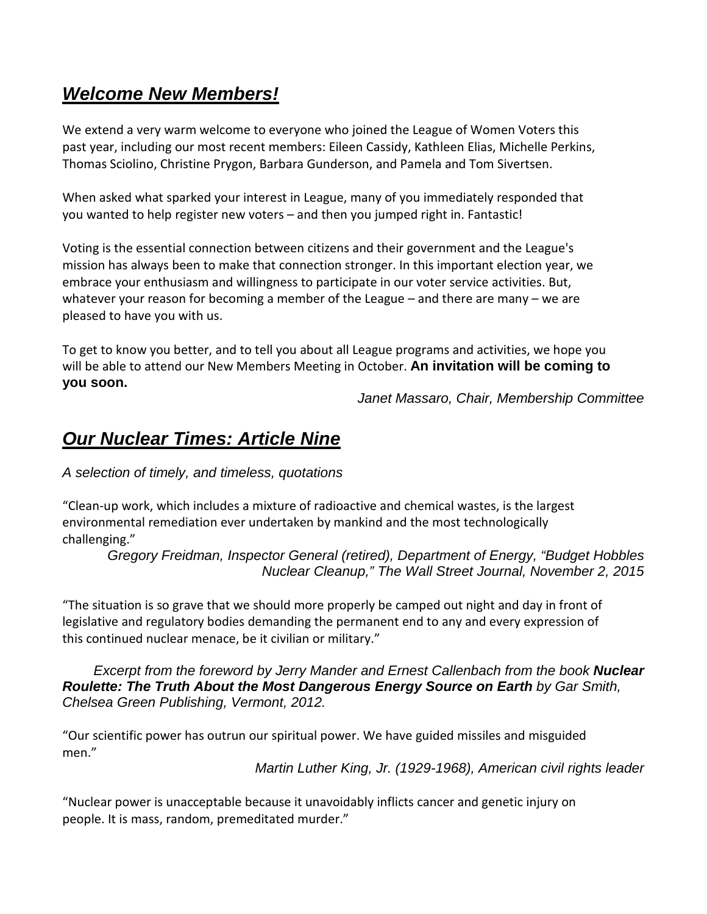## **Welcome New Members!**

We extend a very warm welcome to everyone who joined the League of Women Voters this past year, including our most recent members: Eileen Cassidy, Kathleen Elias, Michelle Perkins, Thomas Sciolino, Christine Prygon, Barbara Gunderson, and Pamela and Tom Sivertsen.

When asked what sparked your interest in League, many of you immediately responded that you wanted to help register new voters – and then you jumped right in. Fantastic!

Voting is the essential connection between citizens and their government and the League's mission has always been to make that connection stronger. In this important election year, we embrace your enthusiasm and willingness to participate in our voter service activities. But, whatever your reason for becoming a member of the League – and there are many – we are pleased to have you with us.

To get to know you better, and to tell you about all League programs and activities, we hope you will be able to attend our New Members Meeting in October. **An invitation will be coming to you soon.** 

Janet Massaro, Chair, Membership Committee

### **Our Nuclear Times: Article Nine**

A selection of timely, and timeless, quotations

"Clean-up work, which includes a mixture of radioactive and chemical wastes, is the largest environmental remediation ever undertaken by mankind and the most technologically challenging."

Gregory Freidman, Inspector General (retired), Department of Energy, "Budget Hobbles Nuclear Cleanup," The Wall Street Journal, November 2, 2015

"The situation is so grave that we should more properly be camped out night and day in front of legislative and regulatory bodies demanding the permanent end to any and every expression of this continued nuclear menace, be it civilian or military."

Excerpt from the foreword by Jerry Mander and Ernest Callenbach from the book **Nuclear Roulette: The Truth About the Most Dangerous Energy Source on Earth** by Gar Smith, Chelsea Green Publishing, Vermont, 2012.

"Our scientific power has outrun our spiritual power. We have guided missiles and misguided men."

Martin Luther King, Jr. (1929-1968), American civil rights leader

"Nuclear power is unacceptable because it unavoidably inflicts cancer and genetic injury on people. It is mass, random, premeditated murder."